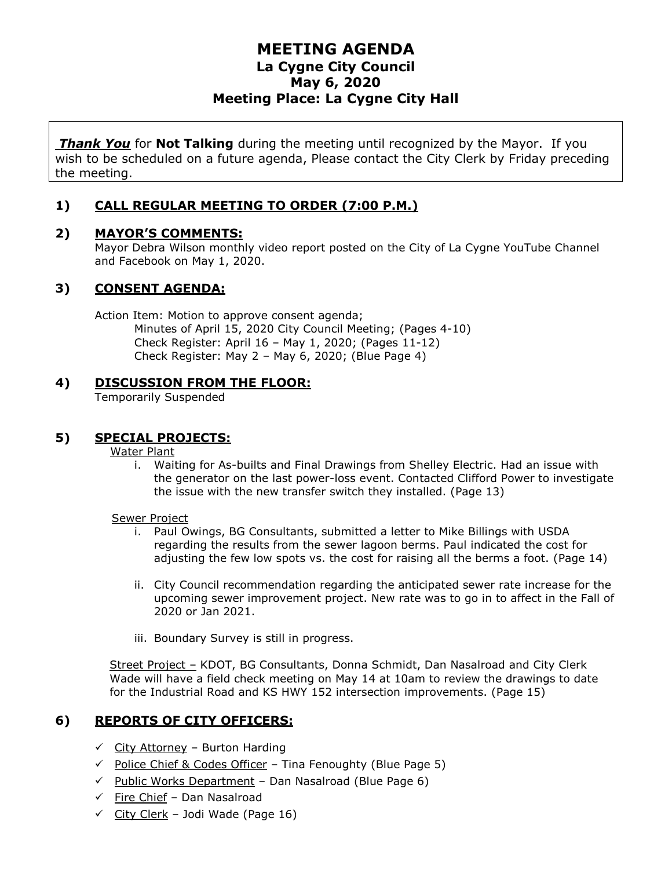# **MEETING AGENDA La Cygne City Council May 6, 2020 Meeting Place: La Cygne City Hall**

*Thank You* for **Not Talking** during the meeting until recognized by the Mayor. If you wish to be scheduled on a future agenda, Please contact the City Clerk by Friday preceding the meeting.

## **1) CALL REGULAR MEETING TO ORDER (7:00 P.M.)**

## **2) MAYOR'S COMMENTS:**

Mayor Debra Wilson monthly video report posted on the City of La Cygne YouTube Channel and Facebook on May 1, 2020.

## **3) CONSENT AGENDA:**

Action Item: Motion to approve consent agenda; Minutes of April 15, 2020 City Council Meeting; (Pages 4-10) Check Register: April 16 – May 1, 2020; (Pages 11-12) Check Register: May 2 – May 6, 2020; (Blue Page 4)

## **4) DISCUSSION FROM THE FLOOR:**

Temporarily Suspended

## **5) SPECIAL PROJECTS:**

#### Water Plant

i. Waiting for As-builts and Final Drawings from Shelley Electric. Had an issue with the generator on the last power-loss event. Contacted Clifford Power to investigate the issue with the new transfer switch they installed. (Page 13)

#### Sewer Project

- i. Paul Owings, BG Consultants, submitted a letter to Mike Billings with USDA regarding the results from the sewer lagoon berms. Paul indicated the cost for adjusting the few low spots vs. the cost for raising all the berms a foot. (Page 14)
- ii. City Council recommendation regarding the anticipated sewer rate increase for the upcoming sewer improvement project. New rate was to go in to affect in the Fall of 2020 or Jan 2021.
- iii. Boundary Survey is still in progress.

Street Project – KDOT, BG Consultants, Donna Schmidt, Dan Nasalroad and City Clerk Wade will have a field check meeting on May 14 at 10am to review the drawings to date for the Industrial Road and KS HWY 152 intersection improvements. (Page 15)

# **6) REPORTS OF CITY OFFICERS:**

- $\checkmark$  City Attorney Burton Harding
- $\checkmark$  Police Chief & Codes Officer Tina Fenoughty (Blue Page 5)
- $\checkmark$  Public Works Department Dan Nasalroad (Blue Page 6)
- $\checkmark$  Fire Chief Dan Nasalroad
- $\checkmark$  City Clerk Jodi Wade (Page 16)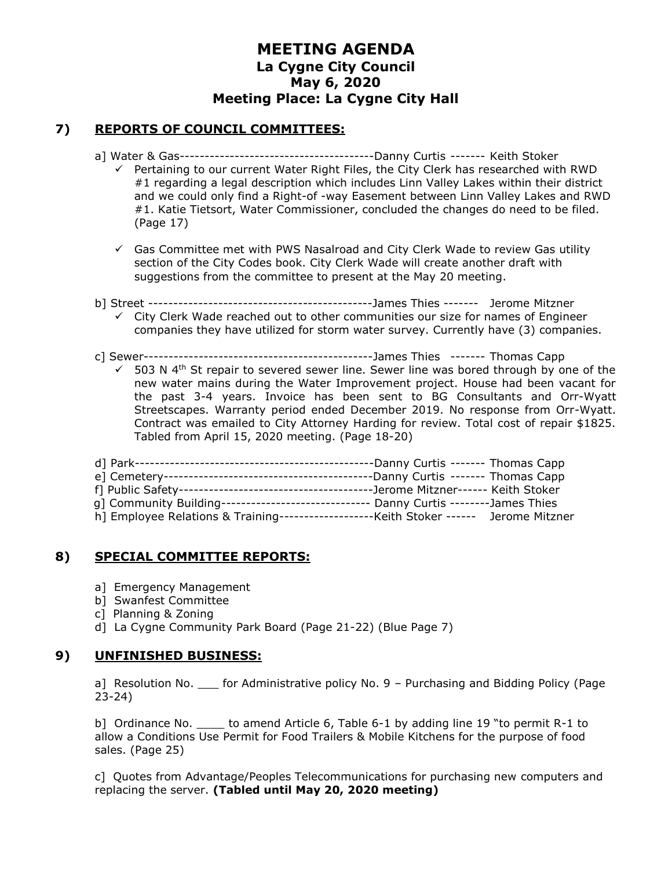# **MEETING AGENDA La Cygne City Council May 6, 2020 Meeting Place: La Cygne City Hall**

## **7) REPORTS OF COUNCIL COMMITTEES:**

- a] Water & Gas---------------------------------------Danny Curtis ------- Keith Stoker
	- $\checkmark$  Pertaining to our current Water Right Files, the City Clerk has researched with RWD #1 regarding a legal description which includes Linn Valley Lakes within their district and we could only find a Right-of -way Easement between Linn Valley Lakes and RWD #1. Katie Tietsort, Water Commissioner, concluded the changes do need to be filed. (Page 17)
	- $\checkmark$  Gas Committee met with PWS Nasalroad and City Clerk Wade to review Gas utility section of the City Codes book. City Clerk Wade will create another draft with suggestions from the committee to present at the May 20 meeting.
- b] Street ---------------------------------------------James Thies ------- Jerome Mitzner
	- $\checkmark$  City Clerk Wade reached out to other communities our size for names of Engineer companies they have utilized for storm water survey. Currently have (3) companies.
- c] Sewer----------------------------------------------James Thies ------- Thomas Capp
	- $\checkmark$  503 N 4<sup>th</sup> St repair to severed sewer line. Sewer line was bored through by one of the new water mains during the Water Improvement project. House had been vacant for the past 3-4 years. Invoice has been sent to BG Consultants and Orr-Wyatt Streetscapes. Warranty period ended December 2019. No response from Orr-Wyatt. Contract was emailed to City Attorney Harding for review. Total cost of repair \$1825. Tabled from April 15, 2020 meeting. (Page 18-20)

|                                                                                        | ---Jerome Mitzner------ Keith Stoker |                |
|----------------------------------------------------------------------------------------|--------------------------------------|----------------|
| q] Community Building-------------------------------- Danny Curtis --------James Thies |                                      |                |
| h] Employee Relations & Training---------------------Keith Stoker ------               |                                      | Jerome Mitzner |

## **8) SPECIAL COMMITTEE REPORTS:**

- a] Emergency Management
- b] Swanfest Committee
- c] Planning & Zoning
- d] La Cygne Community Park Board (Page 21-22) (Blue Page 7)

## **9) UNFINISHED BUSINESS:**

a] Resolution No. \_\_\_ for Administrative policy No. 9 - Purchasing and Bidding Policy (Page 23-24)

b] Ordinance No. \_\_\_\_\_ to amend Article 6, Table 6-1 by adding line 19 "to permit R-1 to allow a Conditions Use Permit for Food Trailers & Mobile Kitchens for the purpose of food sales. (Page 25)

c] Quotes from Advantage/Peoples Telecommunications for purchasing new computers and replacing the server. **(Tabled until May 20, 2020 meeting)**